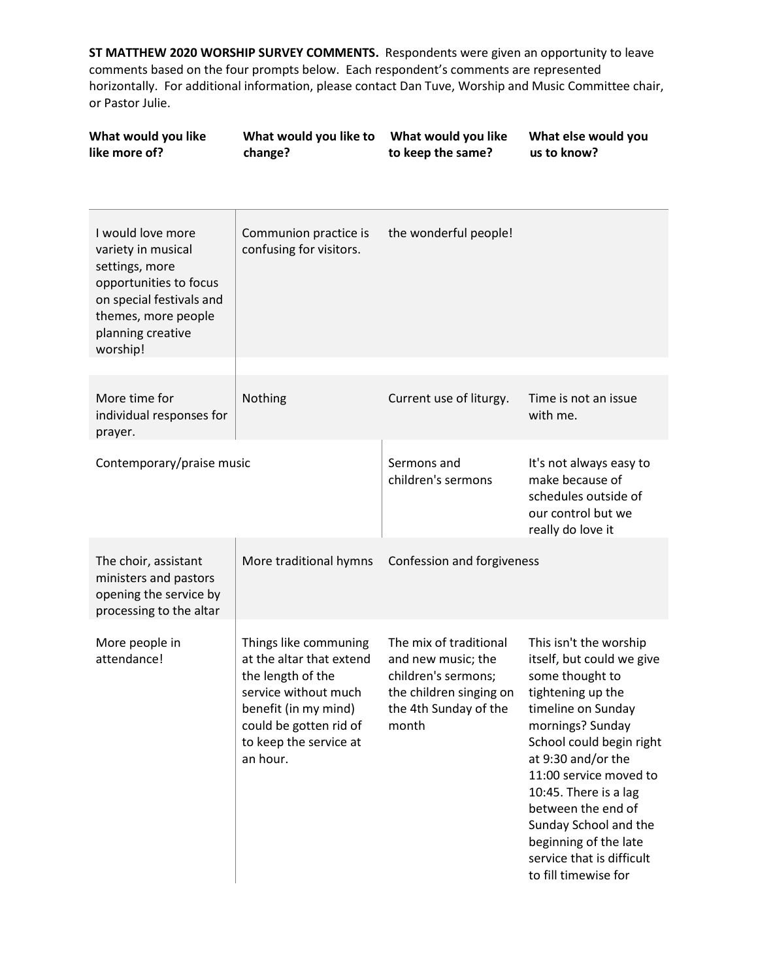| What would you like<br>like more of?                                                                                                                                    | What would you like to<br>change?                                                                                                                                                      | What would you like<br>to keep the same?                                                                                         | What else would you<br>us to know?                                                                                                                                                                                                                                                                                                                                      |
|-------------------------------------------------------------------------------------------------------------------------------------------------------------------------|----------------------------------------------------------------------------------------------------------------------------------------------------------------------------------------|----------------------------------------------------------------------------------------------------------------------------------|-------------------------------------------------------------------------------------------------------------------------------------------------------------------------------------------------------------------------------------------------------------------------------------------------------------------------------------------------------------------------|
| I would love more<br>variety in musical<br>settings, more<br>opportunities to focus<br>on special festivals and<br>themes, more people<br>planning creative<br>worship! | Communion practice is<br>confusing for visitors.                                                                                                                                       | the wonderful people!                                                                                                            |                                                                                                                                                                                                                                                                                                                                                                         |
| More time for<br>individual responses for<br>prayer.                                                                                                                    | Nothing                                                                                                                                                                                | Current use of liturgy.                                                                                                          | Time is not an issue<br>with me.                                                                                                                                                                                                                                                                                                                                        |
| Contemporary/praise music                                                                                                                                               |                                                                                                                                                                                        | Sermons and<br>children's sermons                                                                                                | It's not always easy to<br>make because of<br>schedules outside of<br>our control but we<br>really do love it                                                                                                                                                                                                                                                           |
| The choir, assistant<br>ministers and pastors<br>opening the service by<br>processing to the altar                                                                      | More traditional hymns                                                                                                                                                                 | Confession and forgiveness                                                                                                       |                                                                                                                                                                                                                                                                                                                                                                         |
| More people in<br>attendance!                                                                                                                                           | Things like communing<br>at the altar that extend<br>the length of the<br>service without much<br>benefit (in my mind)<br>could be gotten rid of<br>to keep the service at<br>an hour. | The mix of traditional<br>and new music; the<br>children's sermons;<br>the children singing on<br>the 4th Sunday of the<br>month | This isn't the worship<br>itself, but could we give<br>some thought to<br>tightening up the<br>timeline on Sunday<br>mornings? Sunday<br>School could begin right<br>at 9:30 and/or the<br>11:00 service moved to<br>10:45. There is a lag<br>between the end of<br>Sunday School and the<br>beginning of the late<br>service that is difficult<br>to fill timewise for |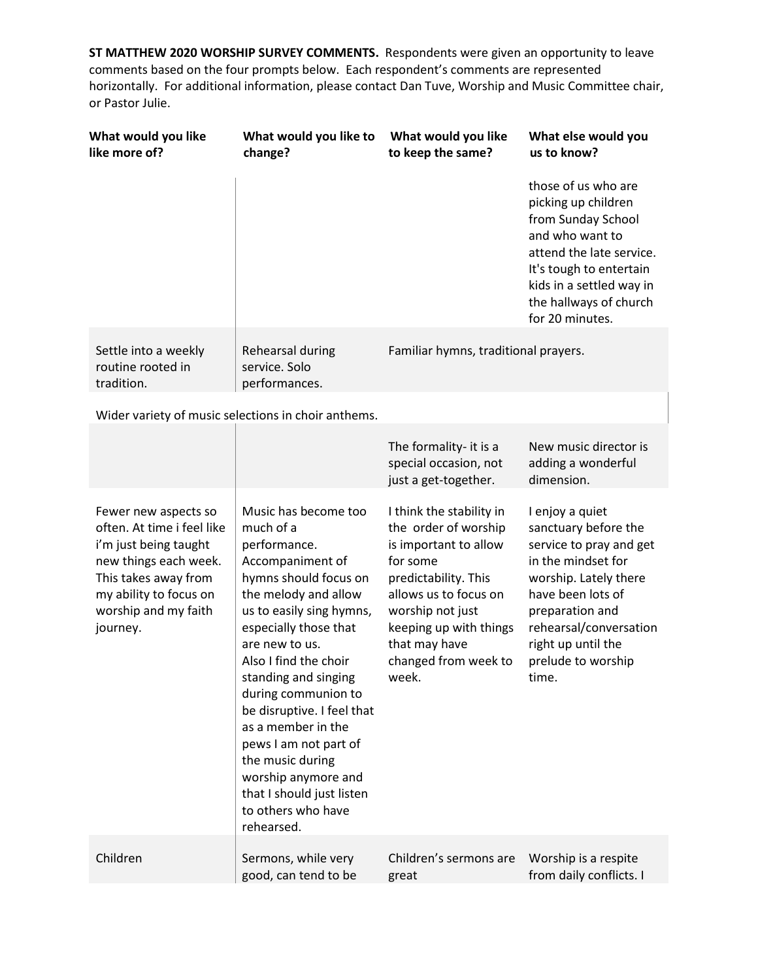| What would you like<br>like more of?                                                                                                                                                       | What would you like to<br>change?                                                                                                                                                                                                                                                                                                                                                                                                                              | What would you like<br>to keep the same?                                                                                                                                                                                               | What else would you<br>us to know?                                                                                                                                                                                                       |
|--------------------------------------------------------------------------------------------------------------------------------------------------------------------------------------------|----------------------------------------------------------------------------------------------------------------------------------------------------------------------------------------------------------------------------------------------------------------------------------------------------------------------------------------------------------------------------------------------------------------------------------------------------------------|----------------------------------------------------------------------------------------------------------------------------------------------------------------------------------------------------------------------------------------|------------------------------------------------------------------------------------------------------------------------------------------------------------------------------------------------------------------------------------------|
|                                                                                                                                                                                            |                                                                                                                                                                                                                                                                                                                                                                                                                                                                |                                                                                                                                                                                                                                        | those of us who are<br>picking up children<br>from Sunday School<br>and who want to<br>attend the late service.<br>It's tough to entertain<br>kids in a settled way in<br>the hallways of church<br>for 20 minutes.                      |
| Settle into a weekly<br>routine rooted in<br>tradition.                                                                                                                                    | Rehearsal during<br>service. Solo<br>performances.                                                                                                                                                                                                                                                                                                                                                                                                             | Familiar hymns, traditional prayers.                                                                                                                                                                                                   |                                                                                                                                                                                                                                          |
|                                                                                                                                                                                            | Wider variety of music selections in choir anthems.                                                                                                                                                                                                                                                                                                                                                                                                            |                                                                                                                                                                                                                                        |                                                                                                                                                                                                                                          |
|                                                                                                                                                                                            |                                                                                                                                                                                                                                                                                                                                                                                                                                                                | The formality- it is a<br>special occasion, not<br>just a get-together.                                                                                                                                                                | New music director is<br>adding a wonderful<br>dimension.                                                                                                                                                                                |
| Fewer new aspects so<br>often. At time i feel like<br>i'm just being taught<br>new things each week.<br>This takes away from<br>my ability to focus on<br>worship and my faith<br>journey. | Music has become too<br>much of a<br>performance.<br>Accompaniment of<br>hymns should focus on<br>the melody and allow<br>us to easily sing hymns,<br>especially those that<br>are new to us.<br>Also I find the choir<br>standing and singing<br>during communion to<br>be disruptive. I feel that<br>as a member in the<br>pews I am not part of<br>the music during<br>worship anymore and<br>that I should just listen<br>to others who have<br>rehearsed. | I think the stability in<br>the order of worship<br>is important to allow<br>for some<br>predictability. This<br>allows us to focus on<br>worship not just<br>keeping up with things<br>that may have<br>changed from week to<br>week. | I enjoy a quiet<br>sanctuary before the<br>service to pray and get<br>in the mindset for<br>worship. Lately there<br>have been lots of<br>preparation and<br>rehearsal/conversation<br>right up until the<br>prelude to worship<br>time. |
| Children                                                                                                                                                                                   | Sermons, while very<br>good, can tend to be                                                                                                                                                                                                                                                                                                                                                                                                                    | Children's sermons are<br>great                                                                                                                                                                                                        | Worship is a respite<br>from daily conflicts. I                                                                                                                                                                                          |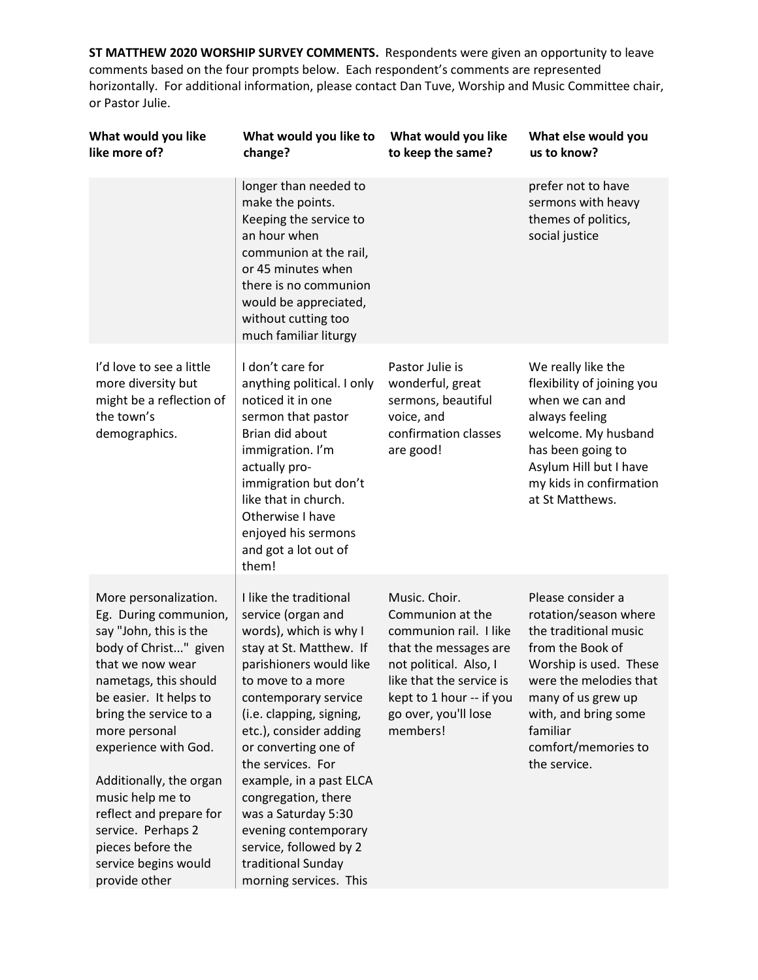| What would you like<br>like more of?                                                                                                                                                                                                                                                                                                                                                                      | What would you like to<br>change?                                                                                                                                                                                                                                                                                                                                                                                                                       | What would you like<br>to keep the same?                                                                                                                                                                   | What else would you<br>us to know?                                                                                                                                                                                                           |
|-----------------------------------------------------------------------------------------------------------------------------------------------------------------------------------------------------------------------------------------------------------------------------------------------------------------------------------------------------------------------------------------------------------|---------------------------------------------------------------------------------------------------------------------------------------------------------------------------------------------------------------------------------------------------------------------------------------------------------------------------------------------------------------------------------------------------------------------------------------------------------|------------------------------------------------------------------------------------------------------------------------------------------------------------------------------------------------------------|----------------------------------------------------------------------------------------------------------------------------------------------------------------------------------------------------------------------------------------------|
|                                                                                                                                                                                                                                                                                                                                                                                                           | longer than needed to<br>make the points.<br>Keeping the service to<br>an hour when<br>communion at the rail,<br>or 45 minutes when<br>there is no communion<br>would be appreciated,<br>without cutting too<br>much familiar liturgy                                                                                                                                                                                                                   |                                                                                                                                                                                                            | prefer not to have<br>sermons with heavy<br>themes of politics,<br>social justice                                                                                                                                                            |
| I'd love to see a little<br>more diversity but<br>might be a reflection of<br>the town's<br>demographics.                                                                                                                                                                                                                                                                                                 | I don't care for<br>anything political. I only<br>noticed it in one<br>sermon that pastor<br>Brian did about<br>immigration. I'm<br>actually pro-<br>immigration but don't<br>like that in church.<br>Otherwise I have<br>enjoyed his sermons<br>and got a lot out of<br>them!                                                                                                                                                                          | Pastor Julie is<br>wonderful, great<br>sermons, beautiful<br>voice, and<br>confirmation classes<br>are good!                                                                                               | We really like the<br>flexibility of joining you<br>when we can and<br>always feeling<br>welcome. My husband<br>has been going to<br>Asylum Hill but I have<br>my kids in confirmation<br>at St Matthews.                                    |
| More personalization.<br>Eg. During communion,<br>say "John, this is the<br>body of Christ" given<br>that we now wear<br>nametags, this should<br>be easier. It helps to<br>bring the service to a<br>more personal<br>experience with God.<br>Additionally, the organ<br>music help me to<br>reflect and prepare for<br>service. Perhaps 2<br>pieces before the<br>service begins would<br>provide other | I like the traditional<br>service (organ and<br>words), which is why I<br>stay at St. Matthew. If<br>parishioners would like<br>to move to a more<br>contemporary service<br>(i.e. clapping, signing,<br>etc.), consider adding<br>or converting one of<br>the services. For<br>example, in a past ELCA<br>congregation, there<br>was a Saturday 5:30<br>evening contemporary<br>service, followed by 2<br>traditional Sunday<br>morning services. This | Music. Choir.<br>Communion at the<br>communion rail. I like<br>that the messages are<br>not political. Also, I<br>like that the service is<br>kept to 1 hour -- if you<br>go over, you'll lose<br>members! | Please consider a<br>rotation/season where<br>the traditional music<br>from the Book of<br>Worship is used. These<br>were the melodies that<br>many of us grew up<br>with, and bring some<br>familiar<br>comfort/memories to<br>the service. |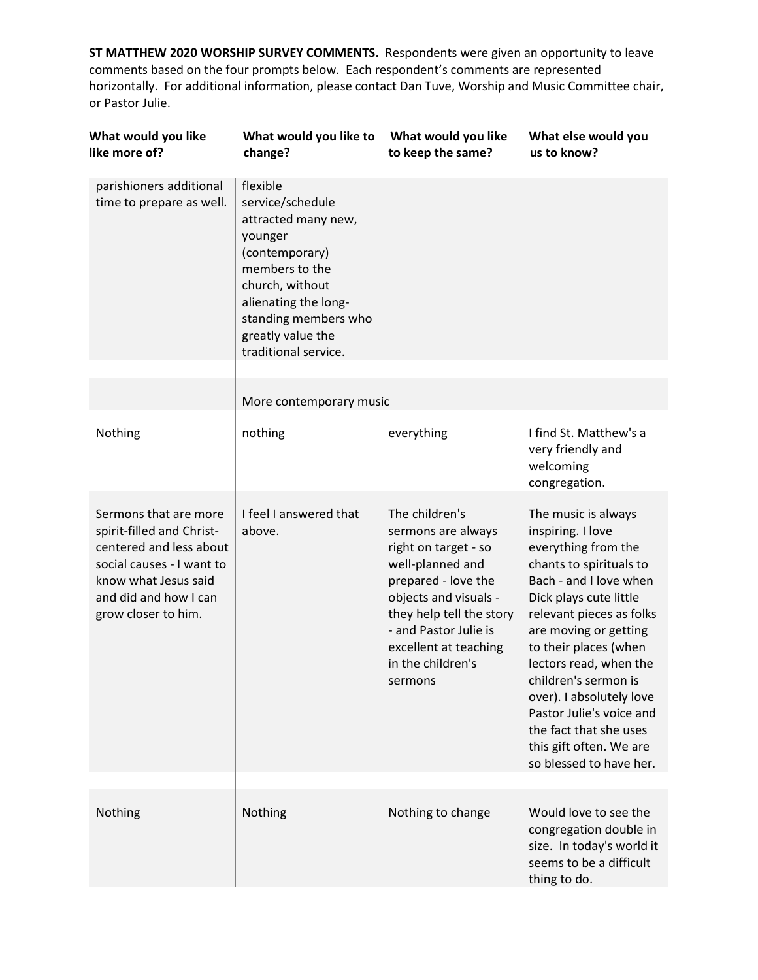| What would you like<br>like more of?                                                                                                                                               | What would you like to<br>change?                                                                                                                                                                                  | What would you like<br>to keep the same?                                                                                                                                                                                                       | What else would you<br>us to know?                                                                                                                                                                                                                                                                                                                                                                                     |
|------------------------------------------------------------------------------------------------------------------------------------------------------------------------------------|--------------------------------------------------------------------------------------------------------------------------------------------------------------------------------------------------------------------|------------------------------------------------------------------------------------------------------------------------------------------------------------------------------------------------------------------------------------------------|------------------------------------------------------------------------------------------------------------------------------------------------------------------------------------------------------------------------------------------------------------------------------------------------------------------------------------------------------------------------------------------------------------------------|
| parishioners additional<br>time to prepare as well.                                                                                                                                | flexible<br>service/schedule<br>attracted many new,<br>younger<br>(contemporary)<br>members to the<br>church, without<br>alienating the long-<br>standing members who<br>greatly value the<br>traditional service. |                                                                                                                                                                                                                                                |                                                                                                                                                                                                                                                                                                                                                                                                                        |
|                                                                                                                                                                                    | More contemporary music                                                                                                                                                                                            |                                                                                                                                                                                                                                                |                                                                                                                                                                                                                                                                                                                                                                                                                        |
| Nothing                                                                                                                                                                            | nothing                                                                                                                                                                                                            | everything                                                                                                                                                                                                                                     | I find St. Matthew's a<br>very friendly and<br>welcoming<br>congregation.                                                                                                                                                                                                                                                                                                                                              |
| Sermons that are more<br>spirit-filled and Christ-<br>centered and less about<br>social causes - I want to<br>know what Jesus said<br>and did and how I can<br>grow closer to him. | I feel I answered that<br>above.                                                                                                                                                                                   | The children's<br>sermons are always<br>right on target - so<br>well-planned and<br>prepared - love the<br>objects and visuals -<br>they help tell the story<br>- and Pastor Julie is<br>excellent at teaching<br>in the children's<br>sermons | The music is always<br>inspiring. I love<br>everything from the<br>chants to spirituals to<br>Bach - and I love when<br>Dick plays cute little<br>relevant pieces as folks<br>are moving or getting<br>to their places (when<br>lectors read, when the<br>children's sermon is<br>over). I absolutely love<br>Pastor Julie's voice and<br>the fact that she uses<br>this gift often. We are<br>so blessed to have her. |
| Nothing                                                                                                                                                                            | Nothing                                                                                                                                                                                                            | Nothing to change                                                                                                                                                                                                                              | Would love to see the<br>congregation double in<br>size. In today's world it<br>seems to be a difficult<br>thing to do.                                                                                                                                                                                                                                                                                                |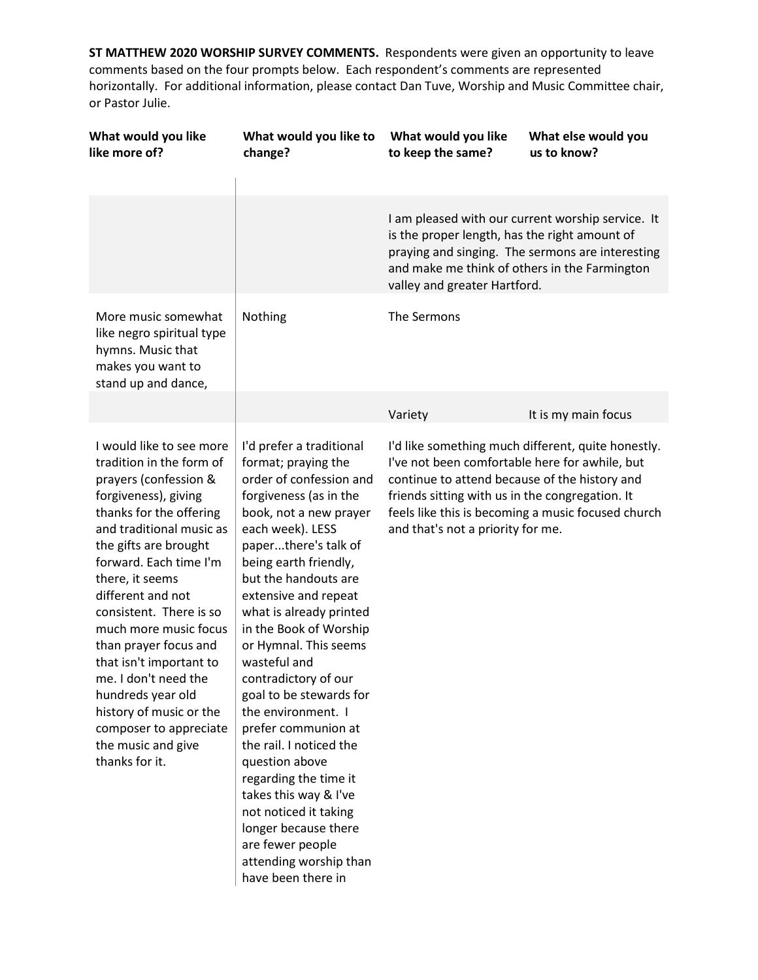| What would you like<br>like more of?                                                                                                                                                                                                                                                                                                                                                                                                                                                                      | What would you like to<br>change?                                                                                                                                                                                                                                                                                                                                                                                                                                                                                                                                                                                                                                     | What would you like<br>to keep the same?                                                                                                                                                                                                | What else would you<br>us to know?                                                                       |
|-----------------------------------------------------------------------------------------------------------------------------------------------------------------------------------------------------------------------------------------------------------------------------------------------------------------------------------------------------------------------------------------------------------------------------------------------------------------------------------------------------------|-----------------------------------------------------------------------------------------------------------------------------------------------------------------------------------------------------------------------------------------------------------------------------------------------------------------------------------------------------------------------------------------------------------------------------------------------------------------------------------------------------------------------------------------------------------------------------------------------------------------------------------------------------------------------|-----------------------------------------------------------------------------------------------------------------------------------------------------------------------------------------------------------------------------------------|----------------------------------------------------------------------------------------------------------|
|                                                                                                                                                                                                                                                                                                                                                                                                                                                                                                           |                                                                                                                                                                                                                                                                                                                                                                                                                                                                                                                                                                                                                                                                       | I am pleased with our current worship service. It<br>is the proper length, has the right amount of<br>praying and singing. The sermons are interesting<br>and make me think of others in the Farmington<br>valley and greater Hartford. |                                                                                                          |
| More music somewhat<br>like negro spiritual type<br>hymns. Music that<br>makes you want to<br>stand up and dance,                                                                                                                                                                                                                                                                                                                                                                                         | Nothing                                                                                                                                                                                                                                                                                                                                                                                                                                                                                                                                                                                                                                                               | The Sermons                                                                                                                                                                                                                             |                                                                                                          |
|                                                                                                                                                                                                                                                                                                                                                                                                                                                                                                           |                                                                                                                                                                                                                                                                                                                                                                                                                                                                                                                                                                                                                                                                       | Variety                                                                                                                                                                                                                                 | It is my main focus                                                                                      |
| I would like to see more<br>tradition in the form of<br>prayers (confession &<br>forgiveness), giving<br>thanks for the offering<br>and traditional music as<br>the gifts are brought<br>forward. Each time I'm<br>there, it seems<br>different and not<br>consistent. There is so<br>much more music focus<br>than prayer focus and<br>that isn't important to<br>me. I don't need the<br>hundreds year old<br>history of music or the<br>composer to appreciate<br>the music and give<br>thanks for it. | I'd prefer a traditional<br>format; praying the<br>order of confession and<br>forgiveness (as in the<br>book, not a new prayer<br>each week). LESS<br>paperthere's talk of<br>being earth friendly,<br>but the handouts are<br>extensive and repeat<br>what is already printed<br>in the Book of Worship<br>or Hymnal. This seems<br>wasteful and<br>contradictory of our<br>goal to be stewards for<br>the environment. I<br>prefer communion at<br>the rail. I noticed the<br>question above<br>regarding the time it<br>takes this way & I've<br>not noticed it taking<br>longer because there<br>are fewer people<br>attending worship than<br>have been there in | I've not been comfortable here for awhile, but<br>continue to attend because of the history and<br>friends sitting with us in the congregation. It<br>and that's not a priority for me.                                                 | I'd like something much different, quite honestly.<br>feels like this is becoming a music focused church |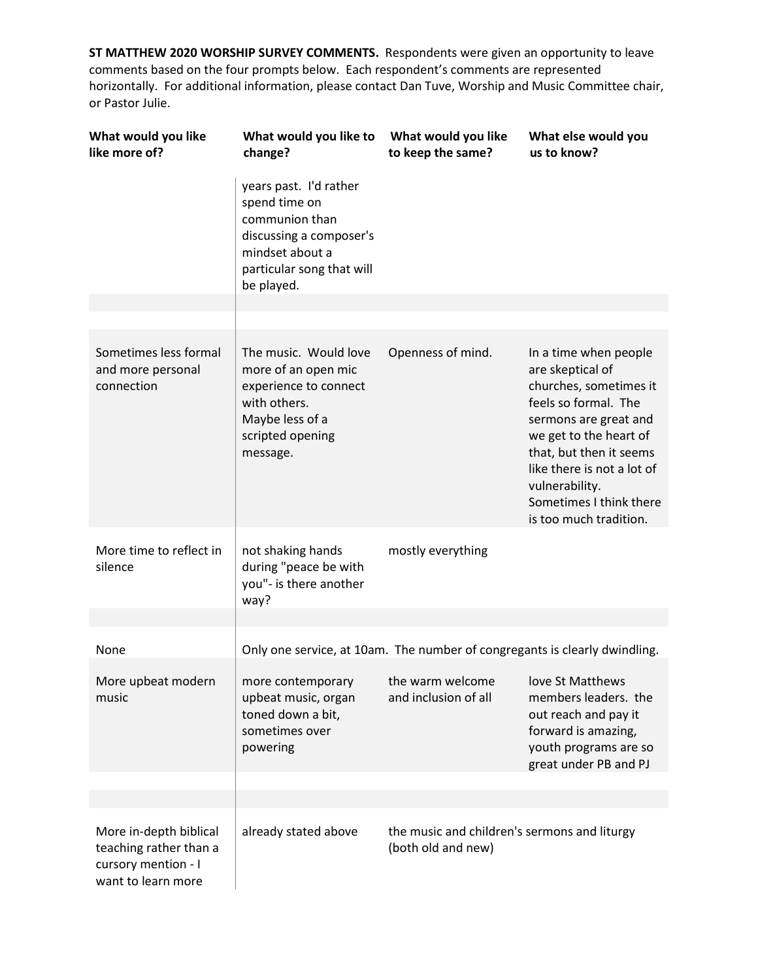| What would you like<br>like more of?                                                          | What would you like to<br>change?                                                                                                                  | What would you like<br>to keep the same?                           | What else would you<br>us to know?                                                                                                                                                                                                                                             |
|-----------------------------------------------------------------------------------------------|----------------------------------------------------------------------------------------------------------------------------------------------------|--------------------------------------------------------------------|--------------------------------------------------------------------------------------------------------------------------------------------------------------------------------------------------------------------------------------------------------------------------------|
|                                                                                               | years past. I'd rather<br>spend time on<br>communion than<br>discussing a composer's<br>mindset about a<br>particular song that will<br>be played. |                                                                    |                                                                                                                                                                                                                                                                                |
|                                                                                               |                                                                                                                                                    |                                                                    |                                                                                                                                                                                                                                                                                |
| Sometimes less formal<br>and more personal<br>connection                                      | The music. Would love<br>more of an open mic<br>experience to connect<br>with others.<br>Maybe less of a<br>scripted opening<br>message.           | Openness of mind.                                                  | In a time when people<br>are skeptical of<br>churches, sometimes it<br>feels so formal. The<br>sermons are great and<br>we get to the heart of<br>that, but then it seems<br>like there is not a lot of<br>vulnerability.<br>Sometimes I think there<br>is too much tradition. |
| More time to reflect in<br>silence                                                            | not shaking hands<br>during "peace be with<br>you"- is there another<br>way?                                                                       | mostly everything                                                  |                                                                                                                                                                                                                                                                                |
|                                                                                               |                                                                                                                                                    |                                                                    |                                                                                                                                                                                                                                                                                |
| None                                                                                          | Only one service, at 10am. The number of congregants is clearly dwindling.                                                                         |                                                                    |                                                                                                                                                                                                                                                                                |
| More upbeat modern<br>music                                                                   | more contemporary<br>upbeat music, organ<br>toned down a bit,<br>sometimes over<br>powering                                                        | the warm welcome<br>and inclusion of all                           | love St Matthews<br>members leaders. the<br>out reach and pay it<br>forward is amazing,<br>youth programs are so<br>great under PB and PJ                                                                                                                                      |
|                                                                                               |                                                                                                                                                    |                                                                    |                                                                                                                                                                                                                                                                                |
| More in-depth biblical<br>teaching rather than a<br>cursory mention - I<br>want to learn more | already stated above                                                                                                                               | the music and children's sermons and liturgy<br>(both old and new) |                                                                                                                                                                                                                                                                                |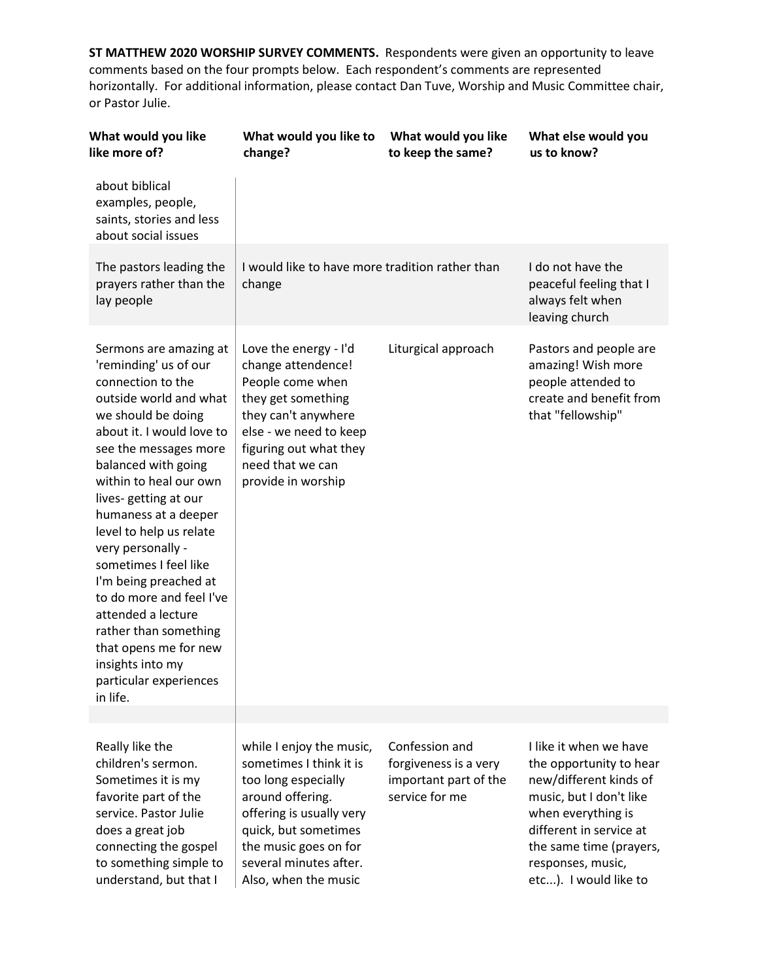| What would you like<br>like more of?                                                                                                                                                                                                                                                                                                                                                                                                                                                                                                        | What would you like to<br>change?                                                                                                                                                                                             | What would you like<br>to keep the same?                                           | What else would you<br>us to know?                                                                                                                                                                                               |
|---------------------------------------------------------------------------------------------------------------------------------------------------------------------------------------------------------------------------------------------------------------------------------------------------------------------------------------------------------------------------------------------------------------------------------------------------------------------------------------------------------------------------------------------|-------------------------------------------------------------------------------------------------------------------------------------------------------------------------------------------------------------------------------|------------------------------------------------------------------------------------|----------------------------------------------------------------------------------------------------------------------------------------------------------------------------------------------------------------------------------|
| about biblical<br>examples, people,<br>saints, stories and less<br>about social issues                                                                                                                                                                                                                                                                                                                                                                                                                                                      |                                                                                                                                                                                                                               |                                                                                    |                                                                                                                                                                                                                                  |
| The pastors leading the<br>prayers rather than the<br>lay people                                                                                                                                                                                                                                                                                                                                                                                                                                                                            | I would like to have more tradition rather than<br>change                                                                                                                                                                     |                                                                                    | I do not have the<br>peaceful feeling that I<br>always felt when<br>leaving church                                                                                                                                               |
| Sermons are amazing at<br>'reminding' us of our<br>connection to the<br>outside world and what<br>we should be doing<br>about it. I would love to<br>see the messages more<br>balanced with going<br>within to heal our own<br>lives-getting at our<br>humaness at a deeper<br>level to help us relate<br>very personally -<br>sometimes I feel like<br>I'm being preached at<br>to do more and feel I've<br>attended a lecture<br>rather than something<br>that opens me for new<br>insights into my<br>particular experiences<br>in life. | Love the energy - I'd<br>change attendence!<br>People come when<br>they get something<br>they can't anywhere<br>else - we need to keep<br>figuring out what they<br>need that we can<br>provide in worship                    | Liturgical approach                                                                | Pastors and people are<br>amazing! Wish more<br>people attended to<br>create and benefit from<br>that "fellowship"                                                                                                               |
|                                                                                                                                                                                                                                                                                                                                                                                                                                                                                                                                             |                                                                                                                                                                                                                               |                                                                                    |                                                                                                                                                                                                                                  |
| Really like the<br>children's sermon.<br>Sometimes it is my<br>favorite part of the<br>service. Pastor Julie<br>does a great job<br>connecting the gospel<br>to something simple to<br>understand, but that I                                                                                                                                                                                                                                                                                                                               | while I enjoy the music,<br>sometimes I think it is<br>too long especially<br>around offering.<br>offering is usually very<br>quick, but sometimes<br>the music goes on for<br>several minutes after.<br>Also, when the music | Confession and<br>forgiveness is a very<br>important part of the<br>service for me | I like it when we have<br>the opportunity to hear<br>new/different kinds of<br>music, but I don't like<br>when everything is<br>different in service at<br>the same time (prayers,<br>responses, music,<br>etc). I would like to |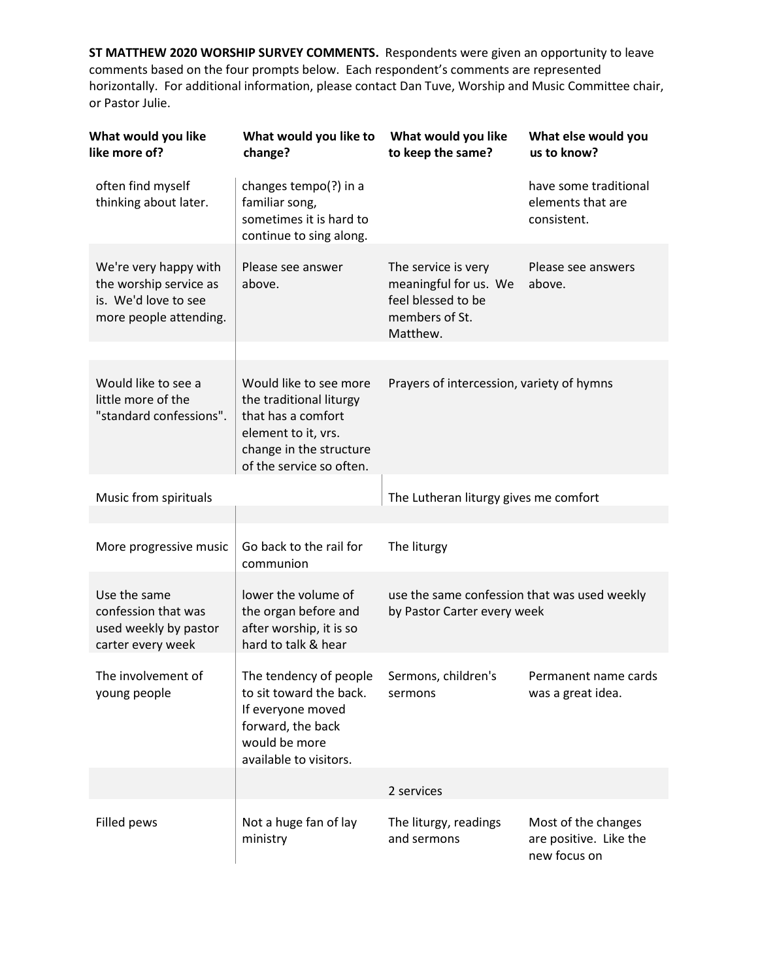| What would you like<br>like more of?                                                              | What would you like to<br>change?                                                                                                                     | What would you like<br>to keep the same?                                                         | What else would you<br>us to know?                            |
|---------------------------------------------------------------------------------------------------|-------------------------------------------------------------------------------------------------------------------------------------------------------|--------------------------------------------------------------------------------------------------|---------------------------------------------------------------|
| often find myself<br>thinking about later.                                                        | changes tempo(?) in a<br>familiar song,<br>sometimes it is hard to<br>continue to sing along.                                                         |                                                                                                  | have some traditional<br>elements that are<br>consistent.     |
| We're very happy with<br>the worship service as<br>is. We'd love to see<br>more people attending. | Please see answer<br>above.                                                                                                                           | The service is very<br>meaningful for us. We<br>feel blessed to be<br>members of St.<br>Matthew. | Please see answers<br>above.                                  |
| Would like to see a<br>little more of the<br>"standard confessions".                              | Would like to see more<br>the traditional liturgy<br>that has a comfort<br>element to it, vrs.<br>change in the structure<br>of the service so often. | Prayers of intercession, variety of hymns                                                        |                                                               |
| Music from spirituals                                                                             |                                                                                                                                                       | The Lutheran liturgy gives me comfort                                                            |                                                               |
| More progressive music                                                                            | Go back to the rail for<br>communion                                                                                                                  | The liturgy                                                                                      |                                                               |
| Use the same<br>confession that was<br>used weekly by pastor<br>carter every week                 | lower the volume of<br>the organ before and<br>after worship, it is so<br>hard to talk & hear                                                         | use the same confession that was used weekly<br>by Pastor Carter every week                      |                                                               |
| The involvement of<br>young people                                                                | The tendency of people<br>to sit toward the back.<br>If everyone moved<br>forward, the back<br>would be more<br>available to visitors.                | Sermons, children's<br>sermons                                                                   | Permanent name cards<br>was a great idea.                     |
|                                                                                                   |                                                                                                                                                       | 2 services                                                                                       |                                                               |
| Filled pews                                                                                       | Not a huge fan of lay<br>ministry                                                                                                                     | The liturgy, readings<br>and sermons                                                             | Most of the changes<br>are positive. Like the<br>new focus on |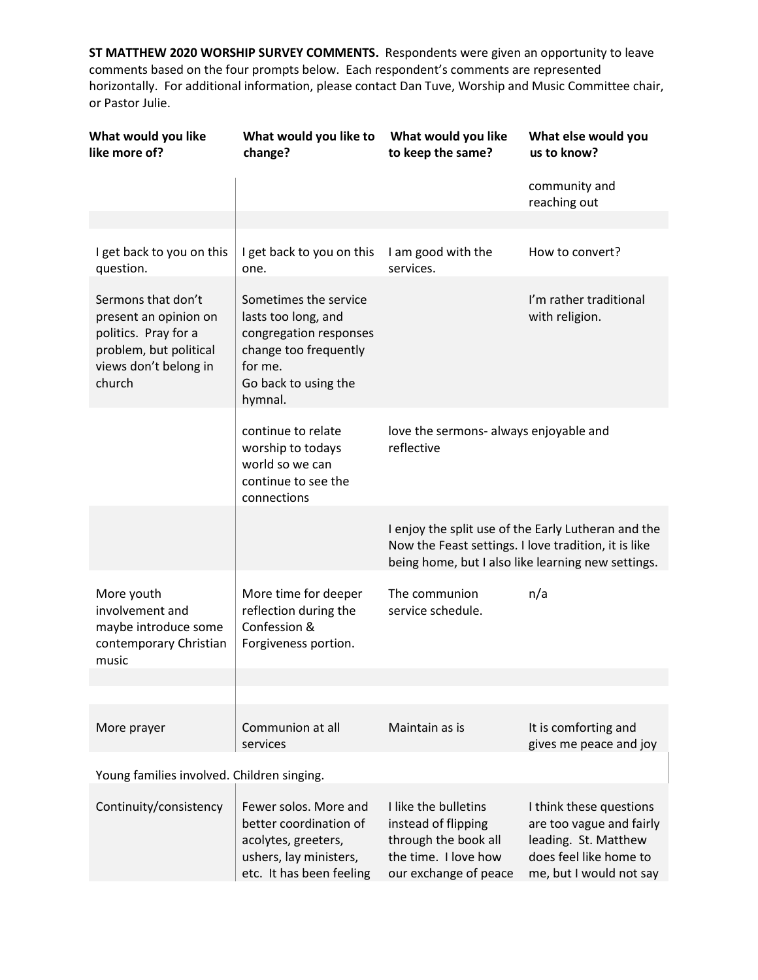| What would you like<br>like more of?                                                                                             | What would you like to<br>change?                                                                                                             | What would you like<br>to keep the same?                                                                             | What else would you<br>us to know?                                                                                               |
|----------------------------------------------------------------------------------------------------------------------------------|-----------------------------------------------------------------------------------------------------------------------------------------------|----------------------------------------------------------------------------------------------------------------------|----------------------------------------------------------------------------------------------------------------------------------|
|                                                                                                                                  |                                                                                                                                               |                                                                                                                      | community and<br>reaching out                                                                                                    |
|                                                                                                                                  |                                                                                                                                               |                                                                                                                      |                                                                                                                                  |
| I get back to you on this<br>question.                                                                                           | I get back to you on this<br>one.                                                                                                             | I am good with the<br>services.                                                                                      | How to convert?                                                                                                                  |
| Sermons that don't<br>present an opinion on<br>politics. Pray for a<br>problem, but political<br>views don't belong in<br>church | Sometimes the service<br>lasts too long, and<br>congregation responses<br>change too frequently<br>for me.<br>Go back to using the<br>hymnal. |                                                                                                                      | I'm rather traditional<br>with religion.                                                                                         |
|                                                                                                                                  | continue to relate<br>worship to todays<br>world so we can<br>continue to see the<br>connections                                              | love the sermons- always enjoyable and<br>reflective                                                                 |                                                                                                                                  |
|                                                                                                                                  |                                                                                                                                               | Now the Feast settings. I love tradition, it is like                                                                 | I enjoy the split use of the Early Lutheran and the<br>being home, but I also like learning new settings.                        |
| More youth<br>involvement and<br>maybe introduce some<br>contemporary Christian<br>music                                         | More time for deeper<br>reflection during the<br>Confession &<br>Forgiveness portion.                                                         | The communion<br>service schedule.                                                                                   | n/a                                                                                                                              |
|                                                                                                                                  |                                                                                                                                               |                                                                                                                      |                                                                                                                                  |
|                                                                                                                                  |                                                                                                                                               |                                                                                                                      |                                                                                                                                  |
| More prayer                                                                                                                      | Communion at all<br>services                                                                                                                  | Maintain as is                                                                                                       | It is comforting and<br>gives me peace and joy                                                                                   |
| Young families involved. Children singing.                                                                                       |                                                                                                                                               |                                                                                                                      |                                                                                                                                  |
| Continuity/consistency                                                                                                           | Fewer solos. More and<br>better coordination of<br>acolytes, greeters,<br>ushers, lay ministers,<br>etc. It has been feeling                  | I like the bulletins<br>instead of flipping<br>through the book all<br>the time. I love how<br>our exchange of peace | I think these questions<br>are too vague and fairly<br>leading. St. Matthew<br>does feel like home to<br>me, but I would not say |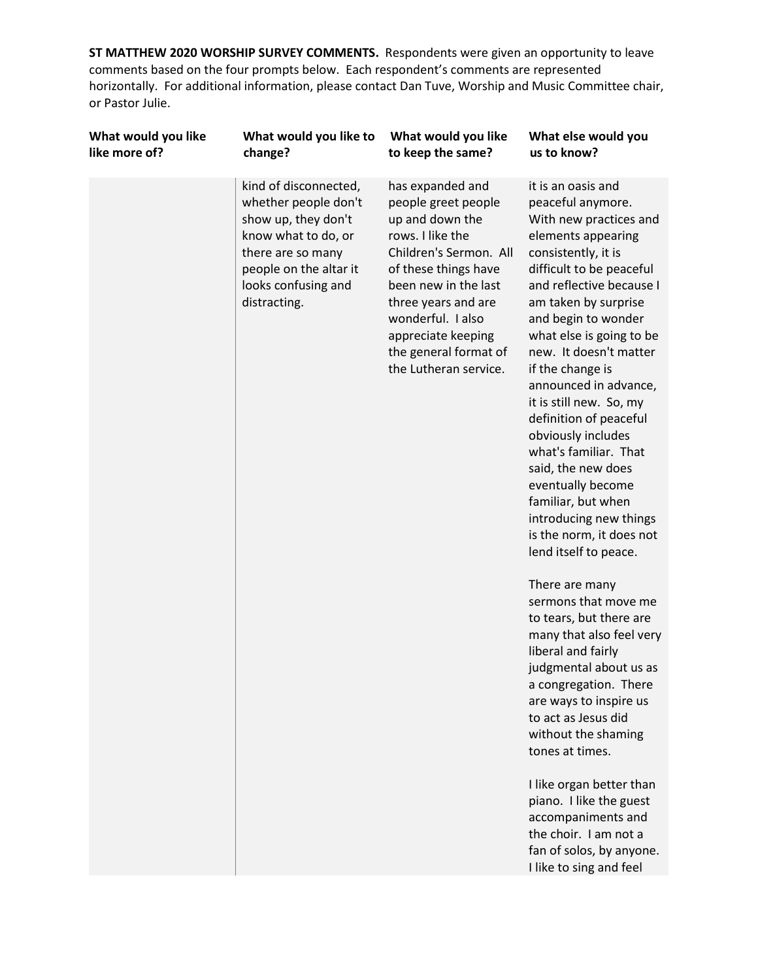| What would you like | What would you like to                                                                                                                                                            | What would you like                                                                                                                                                                                                                                                          | What else would you                                                                                                                                                                                                                                                                                                                                                                                                                                                                                                                                                                                                                                                                                                                                                                                                                                                                                                                                                                                            |
|---------------------|-----------------------------------------------------------------------------------------------------------------------------------------------------------------------------------|------------------------------------------------------------------------------------------------------------------------------------------------------------------------------------------------------------------------------------------------------------------------------|----------------------------------------------------------------------------------------------------------------------------------------------------------------------------------------------------------------------------------------------------------------------------------------------------------------------------------------------------------------------------------------------------------------------------------------------------------------------------------------------------------------------------------------------------------------------------------------------------------------------------------------------------------------------------------------------------------------------------------------------------------------------------------------------------------------------------------------------------------------------------------------------------------------------------------------------------------------------------------------------------------------|
| like more of?       | change?                                                                                                                                                                           | to keep the same?                                                                                                                                                                                                                                                            | us to know?                                                                                                                                                                                                                                                                                                                                                                                                                                                                                                                                                                                                                                                                                                                                                                                                                                                                                                                                                                                                    |
|                     | kind of disconnected,<br>whether people don't<br>show up, they don't<br>know what to do, or<br>there are so many<br>people on the altar it<br>looks confusing and<br>distracting. | has expanded and<br>people greet people<br>up and down the<br>rows. I like the<br>Children's Sermon. All<br>of these things have<br>been new in the last<br>three years and are<br>wonderful. I also<br>appreciate keeping<br>the general format of<br>the Lutheran service. | it is an oasis and<br>peaceful anymore.<br>With new practices and<br>elements appearing<br>consistently, it is<br>difficult to be peaceful<br>and reflective because I<br>am taken by surprise<br>and begin to wonder<br>what else is going to be<br>new. It doesn't matter<br>if the change is<br>announced in advance,<br>it is still new. So, my<br>definition of peaceful<br>obviously includes<br>what's familiar. That<br>said, the new does<br>eventually become<br>familiar, but when<br>introducing new things<br>is the norm, it does not<br>lend itself to peace.<br>There are many<br>sermons that move me<br>to tears, but there are<br>many that also feel very<br>liberal and fairly<br>judgmental about us as<br>a congregation. There<br>are ways to inspire us<br>to act as Jesus did<br>without the shaming<br>tones at times.<br>I like organ better than<br>piano. I like the guest<br>accompaniments and<br>the choir. I am not a<br>fan of solos, by anyone.<br>I like to sing and feel |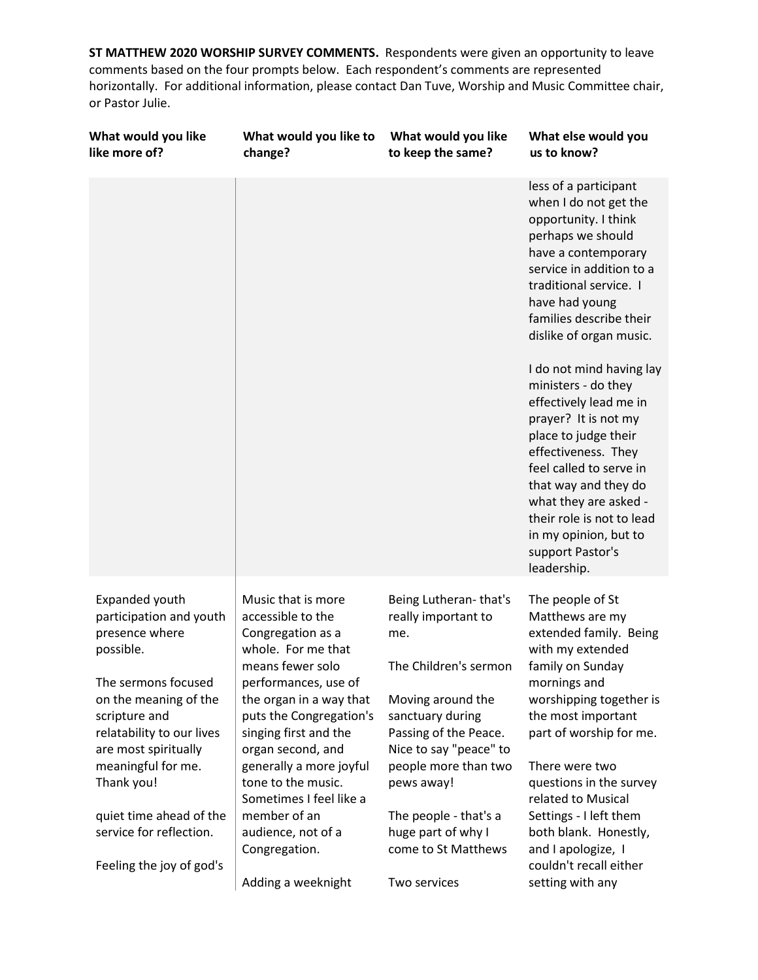| What would you like<br>like more of?                                                                                                                                                           | What would you like to<br>change?                                                                                                                                                                                                  | What would you like<br>to keep the same?                                                                                                                                 | What else would you<br>us to know?                                                                                                                                                                                                                                                                                    |
|------------------------------------------------------------------------------------------------------------------------------------------------------------------------------------------------|------------------------------------------------------------------------------------------------------------------------------------------------------------------------------------------------------------------------------------|--------------------------------------------------------------------------------------------------------------------------------------------------------------------------|-----------------------------------------------------------------------------------------------------------------------------------------------------------------------------------------------------------------------------------------------------------------------------------------------------------------------|
|                                                                                                                                                                                                |                                                                                                                                                                                                                                    |                                                                                                                                                                          | less of a participant<br>when I do not get the<br>opportunity. I think<br>perhaps we should<br>have a contemporary<br>service in addition to a<br>traditional service. I<br>have had young<br>families describe their<br>dislike of organ music.                                                                      |
|                                                                                                                                                                                                |                                                                                                                                                                                                                                    |                                                                                                                                                                          | I do not mind having lay<br>ministers - do they<br>effectively lead me in<br>prayer? It is not my<br>place to judge their<br>effectiveness. They<br>feel called to serve in<br>that way and they do<br>what they are asked -<br>their role is not to lead<br>in my opinion, but to<br>support Pastor's<br>leadership. |
| Expanded youth<br>participation and youth<br>presence where<br>possible.<br>The sermons focused<br>on the meaning of the<br>scripture and<br>relatability to our lives<br>are most spiritually | Music that is more<br>accessible to the<br>Congregation as a<br>whole. For me that<br>means fewer solo<br>performances, use of<br>the organ in a way that<br>puts the Congregation's<br>singing first and the<br>organ second, and | Being Lutheran-that's<br>really important to<br>me.<br>The Children's sermon<br>Moving around the<br>sanctuary during<br>Passing of the Peace.<br>Nice to say "peace" to | The people of St<br>Matthews are my<br>extended family. Being<br>with my extended<br>family on Sunday<br>mornings and<br>worshipping together is<br>the most important<br>part of worship for me.                                                                                                                     |
| meaningful for me.<br>Thank you!<br>quiet time ahead of the<br>service for reflection.                                                                                                         | generally a more joyful<br>tone to the music.<br>Sometimes I feel like a<br>member of an<br>audience, not of a<br>Congregation.                                                                                                    | people more than two<br>pews away!<br>The people - that's a<br>huge part of why I<br>come to St Matthews                                                                 | There were two<br>questions in the survey<br>related to Musical<br>Settings - I left them<br>both blank. Honestly,<br>and I apologize, I                                                                                                                                                                              |
| Feeling the joy of god's                                                                                                                                                                       | Adding a weeknight                                                                                                                                                                                                                 | Two services                                                                                                                                                             | couldn't recall either<br>setting with any                                                                                                                                                                                                                                                                            |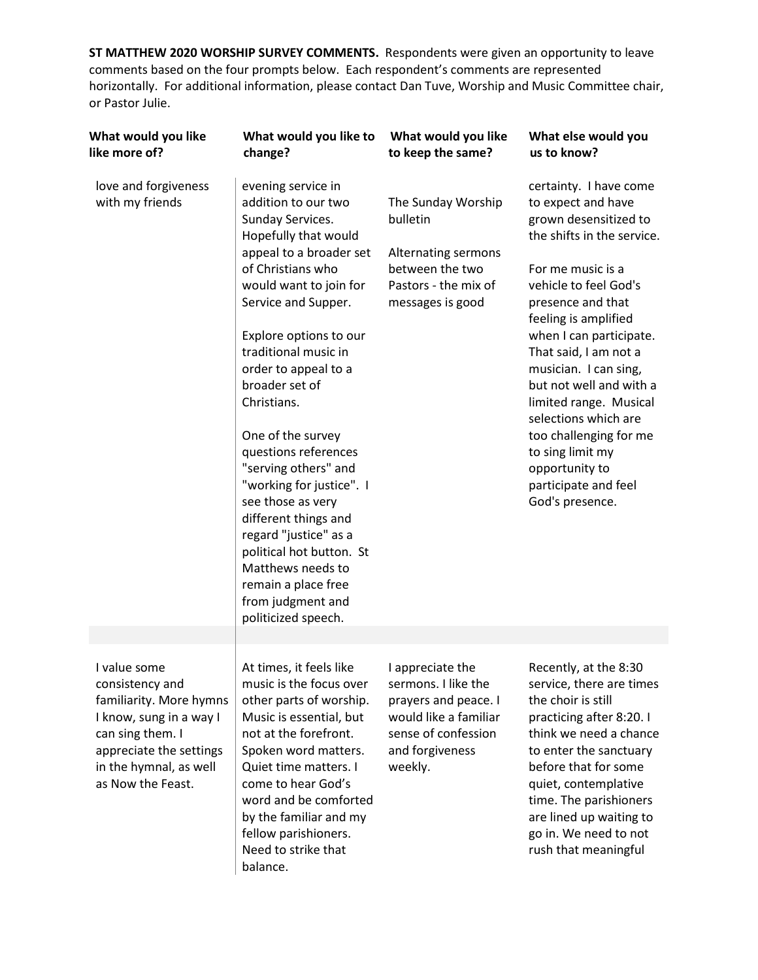| What would you like<br>like more of?                                                                                                                                                | What would you like to<br>change?                                                                                                                                                                                                                                                                                                                                                                                                                                                                                                                                                            | What would you like<br>to keep the same?                                                                                                      | What else would you<br>us to know?                                                                                                                                                                                                                                                                                                                                                                                                                                  |
|-------------------------------------------------------------------------------------------------------------------------------------------------------------------------------------|----------------------------------------------------------------------------------------------------------------------------------------------------------------------------------------------------------------------------------------------------------------------------------------------------------------------------------------------------------------------------------------------------------------------------------------------------------------------------------------------------------------------------------------------------------------------------------------------|-----------------------------------------------------------------------------------------------------------------------------------------------|---------------------------------------------------------------------------------------------------------------------------------------------------------------------------------------------------------------------------------------------------------------------------------------------------------------------------------------------------------------------------------------------------------------------------------------------------------------------|
| love and forgiveness<br>with my friends                                                                                                                                             | evening service in<br>addition to our two<br>Sunday Services.<br>Hopefully that would<br>appeal to a broader set<br>of Christians who<br>would want to join for<br>Service and Supper.<br>Explore options to our<br>traditional music in<br>order to appeal to a<br>broader set of<br>Christians.<br>One of the survey<br>questions references<br>"serving others" and<br>"working for justice". I<br>see those as very<br>different things and<br>regard "justice" as a<br>political hot button. St<br>Matthews needs to<br>remain a place free<br>from judgment and<br>politicized speech. | The Sunday Worship<br>bulletin<br>Alternating sermons<br>between the two<br>Pastors - the mix of<br>messages is good                          | certainty. I have come<br>to expect and have<br>grown desensitized to<br>the shifts in the service.<br>For me music is a<br>vehicle to feel God's<br>presence and that<br>feeling is amplified<br>when I can participate.<br>That said, I am not a<br>musician. I can sing,<br>but not well and with a<br>limited range. Musical<br>selections which are<br>too challenging for me<br>to sing limit my<br>opportunity to<br>participate and feel<br>God's presence. |
|                                                                                                                                                                                     |                                                                                                                                                                                                                                                                                                                                                                                                                                                                                                                                                                                              |                                                                                                                                               |                                                                                                                                                                                                                                                                                                                                                                                                                                                                     |
| I value some<br>consistency and<br>familiarity. More hymns<br>I know, sung in a way I<br>can sing them. I<br>appreciate the settings<br>in the hymnal, as well<br>as Now the Feast. | At times, it feels like<br>music is the focus over<br>other parts of worship.<br>Music is essential, but<br>not at the forefront.<br>Spoken word matters.<br>Quiet time matters. I<br>come to hear God's<br>word and be comforted<br>by the familiar and my<br>fellow parishioners.<br>Need to strike that<br>balance.                                                                                                                                                                                                                                                                       | I appreciate the<br>sermons. I like the<br>prayers and peace. I<br>would like a familiar<br>sense of confession<br>and forgiveness<br>weekly. | Recently, at the 8:30<br>service, there are times<br>the choir is still<br>practicing after 8:20. I<br>think we need a chance<br>to enter the sanctuary<br>before that for some<br>quiet, contemplative<br>time. The parishioners<br>are lined up waiting to<br>go in. We need to not<br>rush that meaningful                                                                                                                                                       |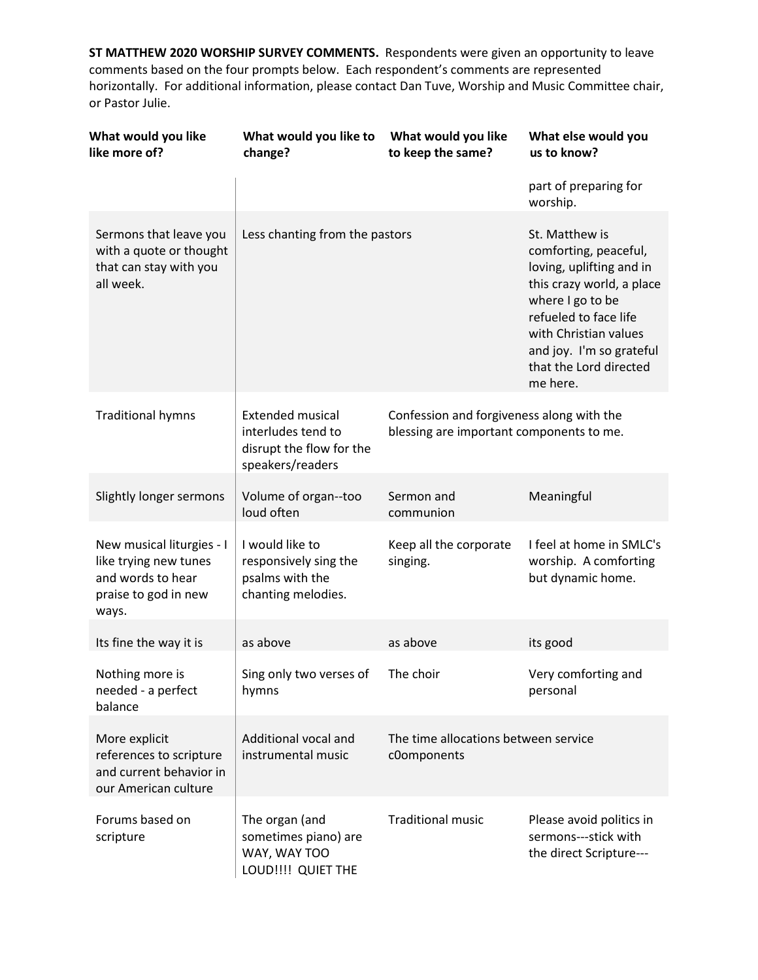| What would you like<br>like more of?                                                                     | What would you like to<br>change?                                                             | What would you like<br>to keep the same?                                              | What else would you<br>us to know?                                                                                                                                                                                                       |
|----------------------------------------------------------------------------------------------------------|-----------------------------------------------------------------------------------------------|---------------------------------------------------------------------------------------|------------------------------------------------------------------------------------------------------------------------------------------------------------------------------------------------------------------------------------------|
|                                                                                                          |                                                                                               |                                                                                       | part of preparing for<br>worship.                                                                                                                                                                                                        |
| Sermons that leave you<br>with a quote or thought<br>that can stay with you<br>all week.                 | Less chanting from the pastors                                                                |                                                                                       | St. Matthew is<br>comforting, peaceful,<br>loving, uplifting and in<br>this crazy world, a place<br>where I go to be<br>refueled to face life<br>with Christian values<br>and joy. I'm so grateful<br>that the Lord directed<br>me here. |
| <b>Traditional hymns</b>                                                                                 | <b>Extended musical</b><br>interludes tend to<br>disrupt the flow for the<br>speakers/readers | Confession and forgiveness along with the<br>blessing are important components to me. |                                                                                                                                                                                                                                          |
| Slightly longer sermons                                                                                  | Volume of organ--too<br>loud often                                                            | Sermon and<br>communion                                                               | Meaningful                                                                                                                                                                                                                               |
| New musical liturgies - I<br>like trying new tunes<br>and words to hear<br>praise to god in new<br>ways. | I would like to<br>responsively sing the<br>psalms with the<br>chanting melodies.             | Keep all the corporate<br>singing.                                                    | I feel at home in SMLC's<br>worship. A comforting<br>but dynamic home.                                                                                                                                                                   |
| Its fine the way it is                                                                                   | as above                                                                                      | as above                                                                              | its good                                                                                                                                                                                                                                 |
| Nothing more is<br>needed - a perfect<br>balance                                                         | Sing only two verses of<br>hymns                                                              | The choir                                                                             | Very comforting and<br>personal                                                                                                                                                                                                          |
| More explicit<br>references to scripture<br>and current behavior in<br>our American culture              | Additional vocal and<br>instrumental music                                                    | The time allocations between service<br>c0omponents                                   |                                                                                                                                                                                                                                          |
| Forums based on<br>scripture                                                                             | The organ (and<br>sometimes piano) are<br>WAY, WAY TOO<br>LOUD!!!! QUIET THE                  | <b>Traditional music</b>                                                              | Please avoid politics in<br>sermons---stick with<br>the direct Scripture---                                                                                                                                                              |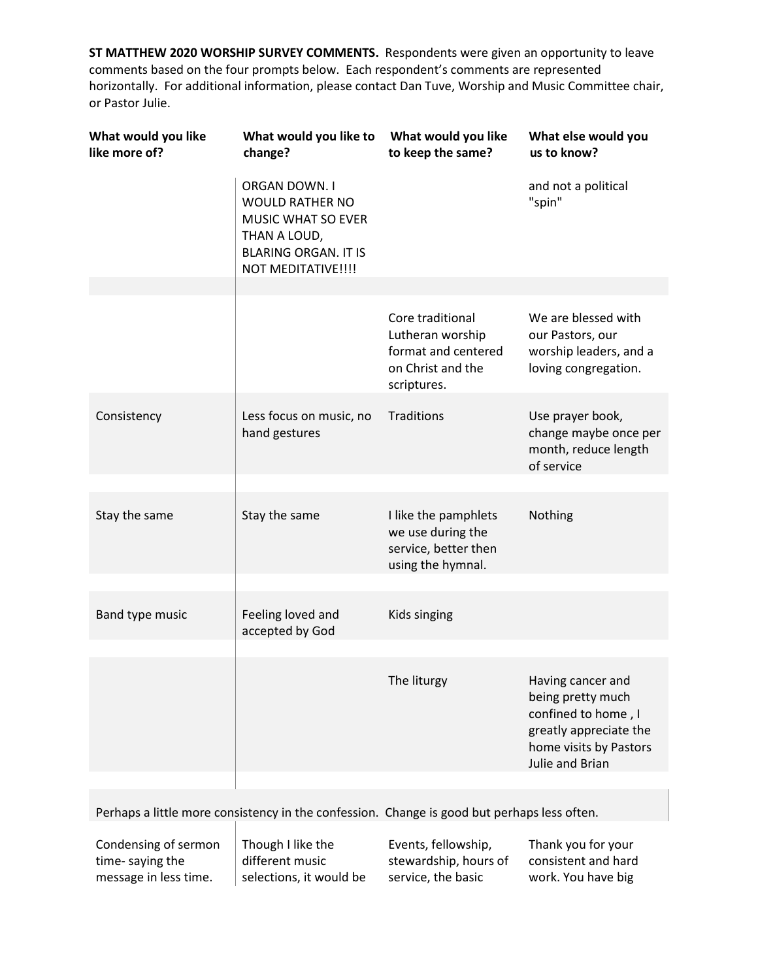| What would you like<br>like more of? | What would you like to<br>change?                                                                                                   | What would you like<br>to keep the same?                                                        | What else would you<br>us to know?                                                                                                   |
|--------------------------------------|-------------------------------------------------------------------------------------------------------------------------------------|-------------------------------------------------------------------------------------------------|--------------------------------------------------------------------------------------------------------------------------------------|
|                                      | ORGAN DOWN. I<br><b>WOULD RATHER NO</b><br>MUSIC WHAT SO EVER<br>THAN A LOUD,<br><b>BLARING ORGAN. IT IS</b><br>NOT MEDITATIVE !!!! |                                                                                                 | and not a political<br>"spin"                                                                                                        |
|                                      |                                                                                                                                     |                                                                                                 |                                                                                                                                      |
|                                      |                                                                                                                                     | Core traditional<br>Lutheran worship<br>format and centered<br>on Christ and the<br>scriptures. | We are blessed with<br>our Pastors, our<br>worship leaders, and a<br>loving congregation.                                            |
| Consistency                          | Less focus on music, no<br>hand gestures                                                                                            | Traditions                                                                                      | Use prayer book,<br>change maybe once per<br>month, reduce length<br>of service                                                      |
|                                      |                                                                                                                                     |                                                                                                 |                                                                                                                                      |
| Stay the same                        | Stay the same                                                                                                                       | I like the pamphlets<br>we use during the<br>service, better then<br>using the hymnal.          | Nothing                                                                                                                              |
|                                      |                                                                                                                                     |                                                                                                 |                                                                                                                                      |
| Band type music                      | Feeling loved and<br>accepted by God                                                                                                | Kids singing                                                                                    |                                                                                                                                      |
|                                      |                                                                                                                                     |                                                                                                 |                                                                                                                                      |
|                                      |                                                                                                                                     | The liturgy                                                                                     | Having cancer and<br>being pretty much<br>confined to home, I<br>greatly appreciate the<br>home visits by Pastors<br>Julie and Brian |
|                                      |                                                                                                                                     |                                                                                                 |                                                                                                                                      |

Perhaps a little more consistency in the confession. Change is good but perhaps less often.

Condensing of sermon time- saying the message in less time.

Though I like the different music selections, it would be

Events, fellowship, stewardship, hours of service, the basic

Thank you for your consistent and hard work. You have big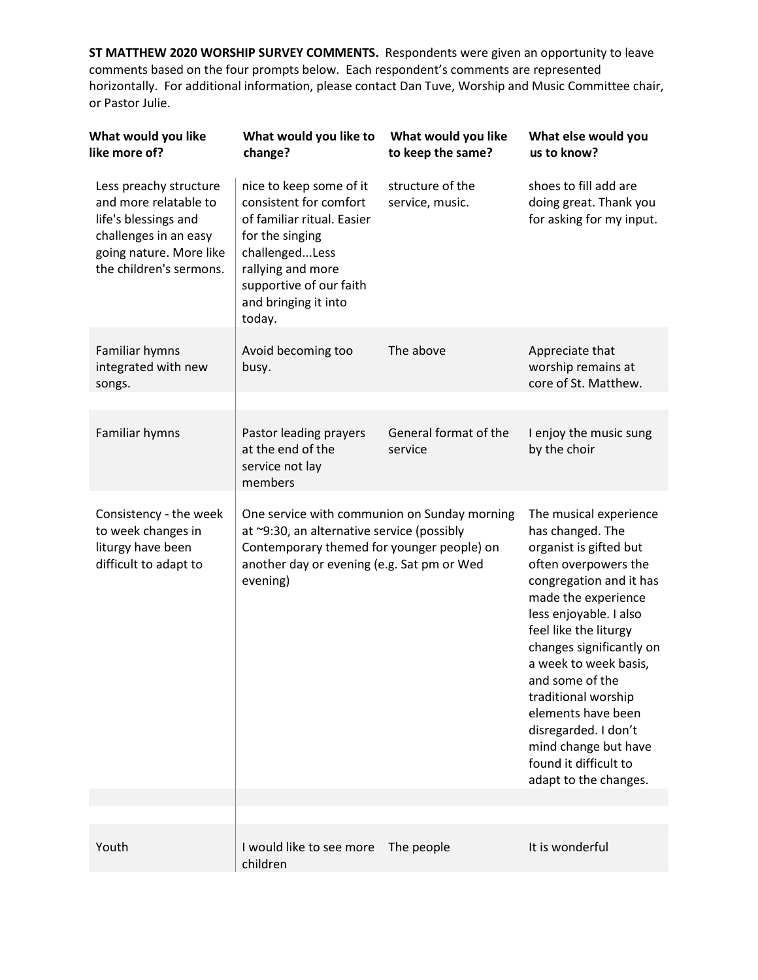| What would you like<br>like more of?                                                                                                                   | What would you like to<br>change?                                                                                                                                                                      | What would you like<br>to keep the same? | What else would you<br>us to know?                                                                                                                                                                                                                                                                                                                                                                                       |
|--------------------------------------------------------------------------------------------------------------------------------------------------------|--------------------------------------------------------------------------------------------------------------------------------------------------------------------------------------------------------|------------------------------------------|--------------------------------------------------------------------------------------------------------------------------------------------------------------------------------------------------------------------------------------------------------------------------------------------------------------------------------------------------------------------------------------------------------------------------|
| Less preachy structure<br>and more relatable to<br>life's blessings and<br>challenges in an easy<br>going nature. More like<br>the children's sermons. | nice to keep some of it<br>consistent for comfort<br>of familiar ritual. Easier<br>for the singing<br>challengedLess<br>rallying and more<br>supportive of our faith<br>and bringing it into<br>today. | structure of the<br>service, music.      | shoes to fill add are<br>doing great. Thank you<br>for asking for my input.                                                                                                                                                                                                                                                                                                                                              |
| Familiar hymns<br>integrated with new<br>songs.                                                                                                        | Avoid becoming too<br>busy.                                                                                                                                                                            | The above                                | Appreciate that<br>worship remains at<br>core of St. Matthew.                                                                                                                                                                                                                                                                                                                                                            |
|                                                                                                                                                        |                                                                                                                                                                                                        |                                          |                                                                                                                                                                                                                                                                                                                                                                                                                          |
| Familiar hymns                                                                                                                                         | Pastor leading prayers<br>at the end of the<br>service not lay<br>members                                                                                                                              | General format of the<br>service         | I enjoy the music sung<br>by the choir                                                                                                                                                                                                                                                                                                                                                                                   |
| Consistency - the week<br>to week changes in<br>liturgy have been<br>difficult to adapt to                                                             | One service with communion on Sunday morning<br>at ~9:30, an alternative service (possibly<br>Contemporary themed for younger people) on<br>another day or evening (e.g. Sat pm or Wed<br>evening)     |                                          | The musical experience<br>has changed. The<br>organist is gifted but<br>often overpowers the<br>congregation and it has<br>made the experience<br>less enjoyable. I also<br>feel like the liturgy<br>changes significantly on<br>a week to week basis,<br>and some of the<br>traditional worship<br>elements have been<br>disregarded. I don't<br>mind change but have<br>found it difficult to<br>adapt to the changes. |
|                                                                                                                                                        |                                                                                                                                                                                                        |                                          |                                                                                                                                                                                                                                                                                                                                                                                                                          |
| Youth                                                                                                                                                  | I would like to see more<br>children                                                                                                                                                                   | The people                               | It is wonderful                                                                                                                                                                                                                                                                                                                                                                                                          |
|                                                                                                                                                        |                                                                                                                                                                                                        |                                          |                                                                                                                                                                                                                                                                                                                                                                                                                          |